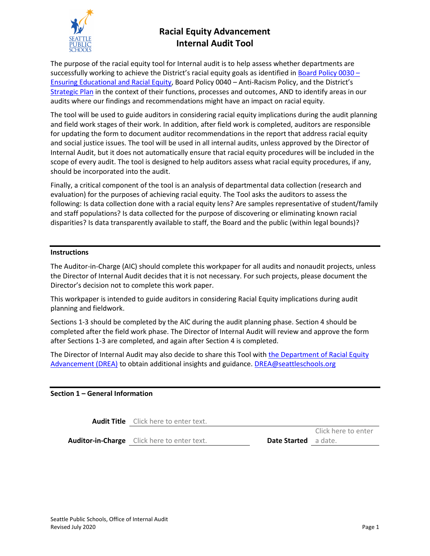

# **Racial Equity Advancement Internal Audit Tool**

The purpose of the racial equity tool for Internal audit is to help assess whether departments are successfully working to achieve the District's racial equity goals as identified i[n Board Policy 0030](https://www.seattleschools.org/UserFiles/Servers/Server_543/File/District/Departments/School%20Board/Policies/Series%200000/0030.pdf) -[Ensuring Educational](https://www.seattleschools.org/UserFiles/Servers/Server_543/File/District/Departments/School%20Board/Policies/Series%200000/0030.pdf) and Racial Equity, Board Policy 0040 – Anti-Racism Policy, and the District's [Strategic Plan](https://www.seattleschools.org/UserFiles/Servers/Server_543/File/District/Departments/strategic_plan/2019-24-ApprovedStratPlan.3.27.19.pdf) in the context of their functions, processes and outcomes, AND to identify areas in our audits where our findings and recommendations might have an impact on racial equity.

The tool will be used to guide auditors in considering racial equity implications during the audit planning and field work stages of their work. In addition, after field work is completed, auditors are responsible for updating the form to document auditor recommendations in the report that address racial equity and social justice issues. The tool will be used in all internal audits, unless approved by the Director of Internal Audit, but it does not automatically ensure that racial equity procedures will be included in the scope of every audit. The tool is designed to help auditors assess what racial equity procedures, if any, should be incorporated into the audit.

Finally, a critical component of the tool is an analysis of departmental data collection (research and evaluation) for the purposes of achieving racial equity. The Tool asks the auditors to assess the following: Is data collection done with a racial equity lens? Are samples representative of student/family and staff populations? Is data collected for the purpose of discovering or eliminating known racial disparities? Is data transparently available to staff, the Board and the public (within legal bounds)?

#### **Instructions**

The Auditor-in-Charge (AIC) should complete this workpaper for all audits and nonaudit projects, unless the Director of Internal Audit decides that it is not necessary. For such projects, please document the Director's decision not to complete this work paper.

This workpaper is intended to guide auditors in considering Racial Equity implications during audit planning and fieldwork.

Sections 1-3 should be completed by the AIC during the audit planning phase. Section 4 should be completed after the field work phase. The Director of Internal Audit will review and approve the form after Sections 1-3 are completed, and again after Section 4 is completed.

The Director of Internal Audit may also decide to share this Tool with [the Department of Racial Equity](https://www.seattleschools.org/cms/One.aspx?portalId=627&pageId=1680960)  [Advancement](https://www.seattleschools.org/cms/One.aspx?portalId=627&pageId=1680960) (DREA) to obtain additional insights and guidance. [DREA@seattleschools.org](mailto:DREA@seattleschools.org)

## **Section 1 – General Information**

**Audit Title** Click here to enter text.

**Auditor-in-Charge** Click here to enter text.

Date Started a date.

Click here to enter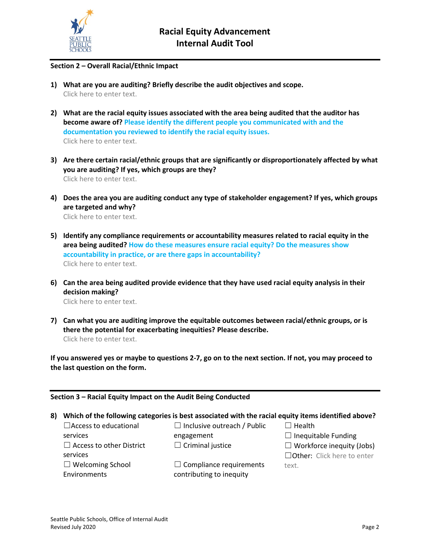

### **Section 2 – Overall Racial/Ethnic Impact**

- **1) What are you are auditing? Briefly describe the audit objectives and scope.** Click here to enter text.
- **2) What are the racial equity issues associated with the area being audited that the auditor has become aware of? Please identify the different people you communicated with and the documentation you reviewed to identify the racial equity issues.** Click here to enter text.
- **3) Are there certain racial/ethnic groups that are significantly or disproportionately affected by what you are auditing? If yes, which groups are they?** Click here to enter text.
- **4) Does the area you are auditing conduct any type of stakeholder engagement? If yes, which groups are targeted and why?** Click here to enter text.
- **5) Identify any compliance requirements or accountability measures related to racial equity in the area being audited? How do these measures ensure racial equity? Do the measures show accountability in practice, or are there gaps in accountability?** Click here to enter text.
- **6) Can the area being audited provide evidence that they have used racial equity analysis in their decision making?**

Click here to enter text.

**7) Can what you are auditing improve the equitable outcomes between racial/ethnic groups, or is there the potential for exacerbating inequities? Please describe.** Click here to enter text.

**If you answered yes or maybe to questions 2-7, go on to the next section. If not, you may proceed to the last question on the form.**

**Section 3 – Racial Equity Impact on the Audit Being Conducted**

**8) Which of the following categories is best associated with the racial equity items identified above?**

engagement  $\Box$  Criminal justice

 $\Box$  Inclusive outreach / Public

services  $\Box$  Access to other District services ☐ Welcoming School Environments

 $\Box$ Access to educational

 $\Box$  Compliance requirements contributing to inequity

☐ Health

 $\Box$  Inequitable Funding

 $\Box$  Workforce inequity (Jobs)

□Other: Click here to enter text.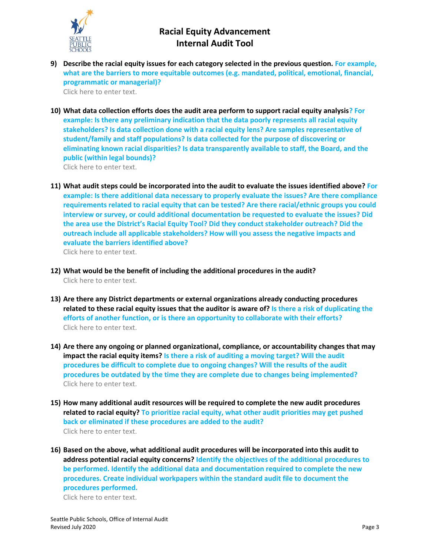

**9) Describe the racial equity issues for each category selected in the previous question. For example, what are the barriers to more equitable outcomes (e.g. mandated, political, emotional, financial, programmatic or managerial)?**

Click here to enter text.

- **10) What data collection efforts does the audit area perform to support racial equity analysis? For example: Is there any preliminary indication that the data poorly represents all racial equity stakeholders? Is data collection done with a racial equity lens? Are samples representative of student/family and staff populations? Is data collected for the purpose of discovering or eliminating known racial disparities? Is data transparently available to staff, the Board, and the public (within legal bounds)?** Click here to enter text.
- **11) What audit steps could be incorporated into the audit to evaluate the issues identified above? For example: Is there additional data necessary to properly evaluate the issues? Are there compliance requirements related to racial equity that can be tested? Are there racial/ethnic groups you could interview or survey, or could additional documentation be requested to evaluate the issues? Did the area use the District's Racial Equity Tool? Did they conduct stakeholder outreach? Did the outreach include all applicable stakeholders? How will you assess the negative impacts and evaluate the barriers identified above?** Click here to enter text.
- **12) What would be the benefit of including the additional procedures in the audit?** Click here to enter text.
- **13) Are there any District departments or external organizations already conducting procedures related to these racial equity issues that the auditor is aware of? Is there a risk of duplicating the efforts of another function, or is there an opportunity to collaborate with their efforts?** Click here to enter text.
- **14) Are there any ongoing or planned organizational, compliance, or accountability changes that may impact the racial equity items? Is there a risk of auditing a moving target? Will the audit procedures be difficult to complete due to ongoing changes? Will the results of the audit procedures be outdated by the time they are complete due to changes being implemented?** Click here to enter text.
- **15) How many additional audit resources will be required to complete the new audit procedures related to racial equity? To prioritize racial equity, what other audit priorities may get pushed back or eliminated if these procedures are added to the audit?** Click here to enter text.
- **16) Based on the above, what additional audit procedures will be incorporated into this audit to address potential racial equity concerns? Identify the objectives of the additional procedures to be performed. Identify the additional data and documentation required to complete the new procedures. Create individual workpapers within the standard audit file to document the procedures performed.**

Click here to enter text.